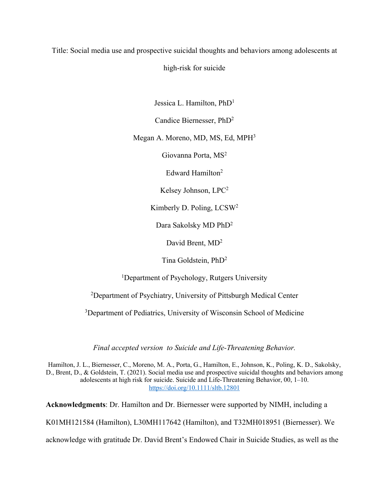Title: Social media use and prospective suicidal thoughts and behaviors among adolescents at

high-risk for suicide

Jessica L. Hamilton, PhD1

Candice Biernesser, PhD2

Megan A. Moreno, MD, MS, Ed, MPH3

Giovanna Porta, MS2

Edward Hamilton2

Kelsey Johnson, LPC2

Kimberly D. Poling, LCSW2

Dara Sakolsky MD PhD2

David Brent, MD<sup>2</sup>

Tina Goldstein, PhD2

<sup>1</sup>Department of Psychology, Rutgers University

<sup>2</sup>Department of Psychiatry, University of Pittsburgh Medical Center

<sup>3</sup>Department of Pediatrics, University of Wisconsin School of Medicine

*Final accepted version to Suicide and Life-Threatening Behavior.*

Hamilton, J. L., Biernesser, C., Moreno, M. A., Porta, G., Hamilton, E., Johnson, K., Poling, K. D., Sakolsky, D., Brent, D., & Goldstein, T. (2021). Social media use and prospective suicidal thoughts and behaviors among adolescents at high risk for suicide. Suicide and Life-Threatening Behavior, 00, 1–10. https://doi.org/10.1111/sltb.12801

**Acknowledgments**: Dr. Hamilton and Dr. Biernesser were supported by NIMH, including a

K01MH121584 (Hamilton), L30MH117642 (Hamilton), and T32MH018951 (Biernesser). We

acknowledge with gratitude Dr. David Brent's Endowed Chair in Suicide Studies, as well as the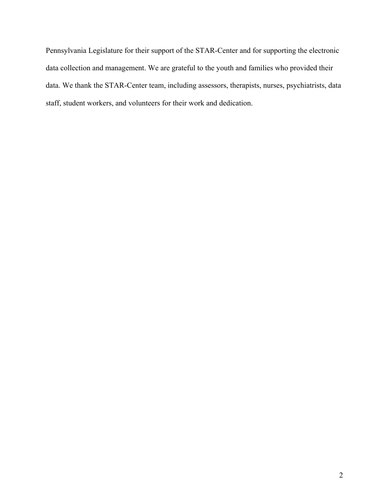Pennsylvania Legislature for their support of the STAR-Center and for supporting the electronic data collection and management. We are grateful to the youth and families who provided their data. We thank the STAR-Center team, including assessors, therapists, nurses, psychiatrists, data staff, student workers, and volunteers for their work and dedication.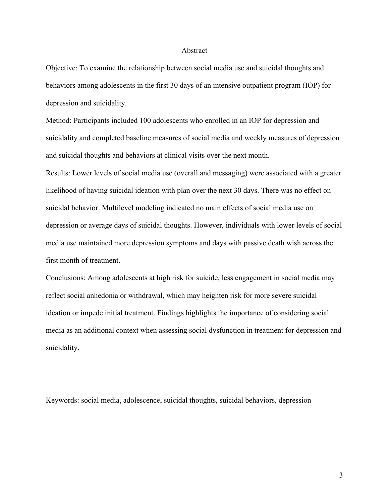### Abstract

Objective: To examine the relationship between social media use and suicidal thoughts and behaviors among adolescents in the first 30 days of an intensive outpatient program (IOP) for depression and suicidality.

Method: Participants included 100 adolescents who enrolled in an IOP for depression and suicidality and completed baseline measures of social media and weekly measures of depression and suicidal thoughts and behaviors at clinical visits over the next month.

Results: Lower levels of social media use (overall and messaging) were associated with a greater likelihood of having suicidal ideation with plan over the next 30 days. There was no effect on suicidal behavior. Multilevel modeling indicated no main effects of social media use on depression or average days of suicidal thoughts. However, individuals with lower levels of social media use maintained more depression symptoms and days with passive death wish across the first month of treatment.

Conclusions: Among adolescents at high risk for suicide, less engagement in social media may reflect social anhedonia or withdrawal, which may heighten risk for more severe suicidal ideation or impede initial treatment. Findings highlights the importance of considering social media as an additional context when assessing social dysfunction in treatment for depression and suicidality.

Keywords: social media, adolescence, suicidal thoughts, suicidal behaviors, depression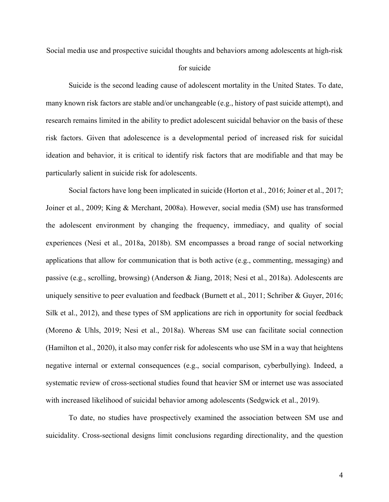Social media use and prospective suicidal thoughts and behaviors among adolescents at high-risk

# for suicide

Suicide is the second leading cause of adolescent mortality in the United States. To date, many known risk factors are stable and/or unchangeable (e.g., history of past suicide attempt), and research remains limited in the ability to predict adolescent suicidal behavior on the basis of these risk factors. Given that adolescence is a developmental period of increased risk for suicidal ideation and behavior, it is critical to identify risk factors that are modifiable and that may be particularly salient in suicide risk for adolescents.

Social factors have long been implicated in suicide (Horton et al., 2016; Joiner et al., 2017; Joiner et al., 2009; King & Merchant, 2008a). However, social media (SM) use has transformed the adolescent environment by changing the frequency, immediacy, and quality of social experiences (Nesi et al., 2018a, 2018b). SM encompasses a broad range of social networking applications that allow for communication that is both active (e.g., commenting, messaging) and passive (e.g., scrolling, browsing) (Anderson & Jiang, 2018; Nesi et al., 2018a). Adolescents are uniquely sensitive to peer evaluation and feedback (Burnett et al., 2011; Schriber & Guyer, 2016; Silk et al., 2012), and these types of SM applications are rich in opportunity for social feedback (Moreno & Uhls, 2019; Nesi et al., 2018a). Whereas SM use can facilitate social connection (Hamilton et al., 2020), it also may confer risk for adolescents who use SM in a way that heightens negative internal or external consequences (e.g., social comparison, cyberbullying). Indeed, a systematic review of cross-sectional studies found that heavier SM or internet use was associated with increased likelihood of suicidal behavior among adolescents (Sedgwick et al., 2019).

To date, no studies have prospectively examined the association between SM use and suicidality. Cross-sectional designs limit conclusions regarding directionality, and the question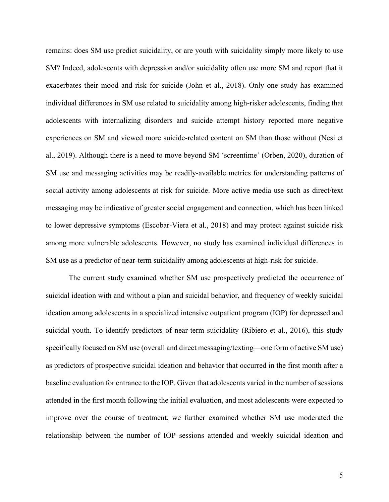remains: does SM use predict suicidality, or are youth with suicidality simply more likely to use SM? Indeed, adolescents with depression and/or suicidality often use more SM and report that it exacerbates their mood and risk for suicide (John et al., 2018). Only one study has examined individual differences in SM use related to suicidality among high-risker adolescents, finding that adolescents with internalizing disorders and suicide attempt history reported more negative experiences on SM and viewed more suicide-related content on SM than those without (Nesi et al., 2019). Although there is a need to move beyond SM 'screentime' (Orben, 2020), duration of SM use and messaging activities may be readily-available metrics for understanding patterns of social activity among adolescents at risk for suicide. More active media use such as direct/text messaging may be indicative of greater social engagement and connection, which has been linked to lower depressive symptoms (Escobar-Viera et al., 2018) and may protect against suicide risk among more vulnerable adolescents. However, no study has examined individual differences in SM use as a predictor of near-term suicidality among adolescents at high-risk for suicide.

The current study examined whether SM use prospectively predicted the occurrence of suicidal ideation with and without a plan and suicidal behavior, and frequency of weekly suicidal ideation among adolescents in a specialized intensive outpatient program (IOP) for depressed and suicidal youth. To identify predictors of near-term suicidality (Ribiero et al., 2016), this study specifically focused on SM use (overall and direct messaging/texting—one form of active SM use) as predictors of prospective suicidal ideation and behavior that occurred in the first month after a baseline evaluation for entrance to the IOP. Given that adolescents varied in the number of sessions attended in the first month following the initial evaluation, and most adolescents were expected to improve over the course of treatment, we further examined whether SM use moderated the relationship between the number of IOP sessions attended and weekly suicidal ideation and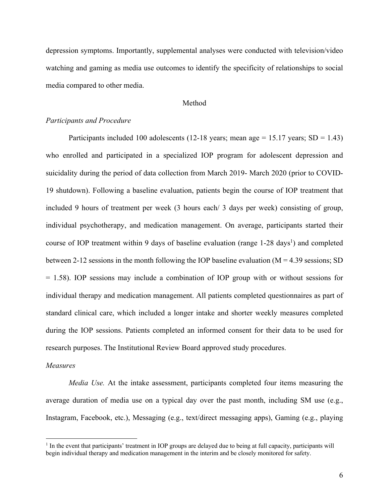depression symptoms. Importantly, supplemental analyses were conducted with television/video watching and gaming as media use outcomes to identify the specificity of relationships to social media compared to other media.

## Method

# *Participants and Procedure*

Participants included 100 adolescents (12-18 years; mean age = 15.17 years;  $SD = 1.43$ ) who enrolled and participated in a specialized IOP program for adolescent depression and suicidality during the period of data collection from March 2019- March 2020 (prior to COVID-19 shutdown). Following a baseline evaluation, patients begin the course of IOP treatment that included 9 hours of treatment per week (3 hours each/ 3 days per week) consisting of group, individual psychotherapy, and medication management. On average, participants started their course of IOP treatment within 9 days of baseline evaluation (range 1-28 days<sup>1</sup>) and completed between 2-12 sessions in the month following the IOP baseline evaluation ( $M = 4.39$  sessions; SD = 1.58). IOP sessions may include a combination of IOP group with or without sessions for individual therapy and medication management. All patients completed questionnaires as part of standard clinical care, which included a longer intake and shorter weekly measures completed during the IOP sessions. Patients completed an informed consent for their data to be used for research purposes. The Institutional Review Board approved study procedures.

### *Measures*

*Media Use.* At the intake assessment, participants completed four items measuring the average duration of media use on a typical day over the past month, including SM use (e.g., Instagram, Facebook, etc.), Messaging (e.g., text/direct messaging apps), Gaming (e.g., playing

<sup>&</sup>lt;sup>1</sup> In the event that participants' treatment in IOP groups are delayed due to being at full capacity, participants will begin individual therapy and medication management in the interim and be closely monitored for safety.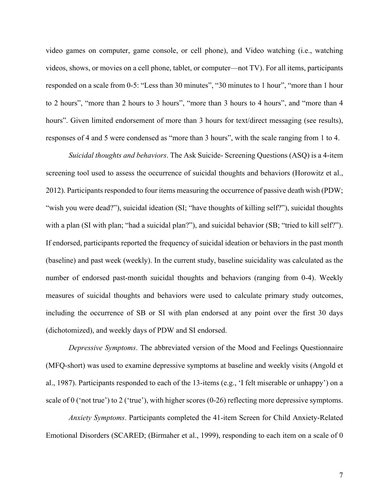video games on computer, game console, or cell phone), and Video watching (i.e., watching videos, shows, or movies on a cell phone, tablet, or computer—not TV). For all items, participants responded on a scale from 0-5: "Less than 30 minutes", "30 minutes to 1 hour", "more than 1 hour to 2 hours", "more than 2 hours to 3 hours", "more than 3 hours to 4 hours", and "more than 4 hours". Given limited endorsement of more than 3 hours for text/direct messaging (see results), responses of 4 and 5 were condensed as "more than 3 hours", with the scale ranging from 1 to 4.

*Suicidal thoughts and behaviors*. The Ask Suicide- Screening Questions (ASQ) is a 4-item screening tool used to assess the occurrence of suicidal thoughts and behaviors (Horowitz et al., 2012). Participants responded to four items measuring the occurrence of passive death wish (PDW; "wish you were dead?"), suicidal ideation (SI; "have thoughts of killing self?"), suicidal thoughts with a plan (SI with plan; "had a suicidal plan?"), and suicidal behavior (SB; "tried to kill self?"). If endorsed, participants reported the frequency of suicidal ideation or behaviors in the past month (baseline) and past week (weekly). In the current study, baseline suicidality was calculated as the number of endorsed past-month suicidal thoughts and behaviors (ranging from 0-4). Weekly measures of suicidal thoughts and behaviors were used to calculate primary study outcomes, including the occurrence of SB or SI with plan endorsed at any point over the first 30 days (dichotomized), and weekly days of PDW and SI endorsed.

*Depressive Symptoms*. The abbreviated version of the Mood and Feelings Questionnaire (MFQ-short) was used to examine depressive symptoms at baseline and weekly visits (Angold et al., 1987). Participants responded to each of the 13-items (e.g., 'I felt miserable or unhappy') on a scale of 0 ('not true') to 2 ('true'), with higher scores (0-26) reflecting more depressive symptoms.

*Anxiety Symptoms*. Participants completed the 41-item Screen for Child Anxiety-Related Emotional Disorders (SCARED; (Birmaher et al., 1999), responding to each item on a scale of 0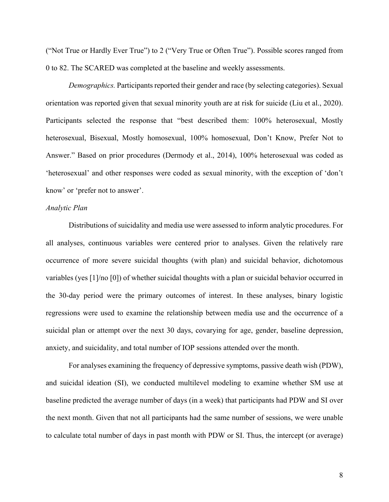("Not True or Hardly Ever True") to 2 ("Very True or Often True"). Possible scores ranged from 0 to 82. The SCARED was completed at the baseline and weekly assessments.

*Demographics.* Participants reported their gender and race (by selecting categories). Sexual orientation was reported given that sexual minority youth are at risk for suicide (Liu et al., 2020). Participants selected the response that "best described them: 100% heterosexual, Mostly heterosexual, Bisexual, Mostly homosexual, 100% homosexual, Don't Know, Prefer Not to Answer." Based on prior procedures (Dermody et al., 2014), 100% heterosexual was coded as 'heterosexual' and other responses were coded as sexual minority, with the exception of 'don't know' or 'prefer not to answer'.

# *Analytic Plan*

Distributions of suicidality and media use were assessed to inform analytic procedures. For all analyses, continuous variables were centered prior to analyses. Given the relatively rare occurrence of more severe suicidal thoughts (with plan) and suicidal behavior, dichotomous variables (yes [1]/no [0]) of whether suicidal thoughts with a plan or suicidal behavior occurred in the 30-day period were the primary outcomes of interest. In these analyses, binary logistic regressions were used to examine the relationship between media use and the occurrence of a suicidal plan or attempt over the next 30 days, covarying for age, gender, baseline depression, anxiety, and suicidality, and total number of IOP sessions attended over the month.

For analyses examining the frequency of depressive symptoms, passive death wish (PDW), and suicidal ideation (SI), we conducted multilevel modeling to examine whether SM use at baseline predicted the average number of days (in a week) that participants had PDW and SI over the next month. Given that not all participants had the same number of sessions, we were unable to calculate total number of days in past month with PDW or SI. Thus, the intercept (or average)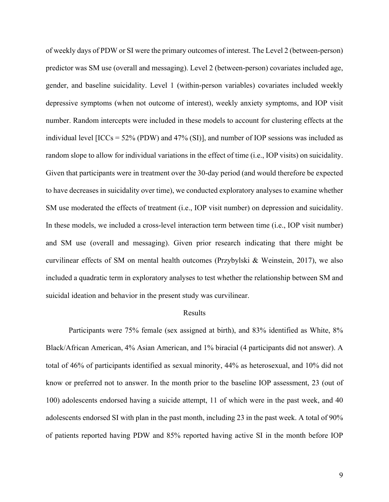of weekly days of PDW or SI were the primary outcomes of interest. The Level 2 (between-person) predictor was SM use (overall and messaging). Level 2 (between-person) covariates included age, gender, and baseline suicidality. Level 1 (within-person variables) covariates included weekly depressive symptoms (when not outcome of interest), weekly anxiety symptoms, and IOP visit number. Random intercepts were included in these models to account for clustering effects at the individual level  $[ICCs = 52\% (PDW)$  and 47% (SI)], and number of IOP sessions was included as random slope to allow for individual variations in the effect of time (i.e., IOP visits) on suicidality. Given that participants were in treatment over the 30-day period (and would therefore be expected to have decreases in suicidality over time), we conducted exploratory analyses to examine whether SM use moderated the effects of treatment (i.e., IOP visit number) on depression and suicidality. In these models, we included a cross-level interaction term between time (i.e., IOP visit number) and SM use (overall and messaging). Given prior research indicating that there might be curvilinear effects of SM on mental health outcomes (Przybylski & Weinstein, 2017), we also included a quadratic term in exploratory analyses to test whether the relationship between SM and suicidal ideation and behavior in the present study was curvilinear.

## Results

Participants were 75% female (sex assigned at birth), and 83% identified as White, 8% Black/African American, 4% Asian American, and 1% biracial (4 participants did not answer). A total of 46% of participants identified as sexual minority, 44% as heterosexual, and 10% did not know or preferred not to answer. In the month prior to the baseline IOP assessment, 23 (out of 100) adolescents endorsed having a suicide attempt, 11 of which were in the past week, and 40 adolescents endorsed SI with plan in the past month, including 23 in the past week. A total of 90% of patients reported having PDW and 85% reported having active SI in the month before IOP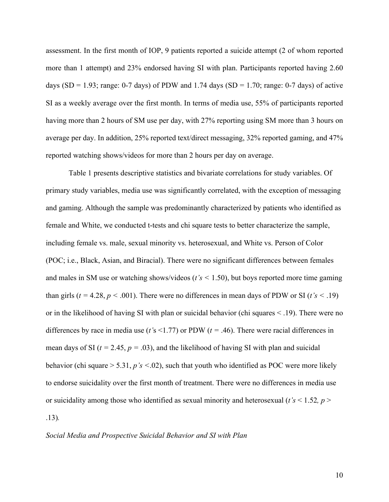assessment. In the first month of IOP, 9 patients reported a suicide attempt (2 of whom reported more than 1 attempt) and 23% endorsed having SI with plan. Participants reported having 2.60 days (SD = 1.93; range: 0-7 days) of PDW and 1.74 days (SD = 1.70; range: 0-7 days) of active SI as a weekly average over the first month. In terms of media use, 55% of participants reported having more than 2 hours of SM use per day, with 27% reporting using SM more than 3 hours on average per day. In addition, 25% reported text/direct messaging, 32% reported gaming, and 47% reported watching shows/videos for more than 2 hours per day on average.

Table 1 presents descriptive statistics and bivariate correlations for study variables. Of primary study variables, media use was significantly correlated, with the exception of messaging and gaming. Although the sample was predominantly characterized by patients who identified as female and White, we conducted t-tests and chi square tests to better characterize the sample, including female vs. male, sexual minority vs. heterosexual, and White vs. Person of Color (POC; i.e., Black, Asian, and Biracial). There were no significant differences between females and males in SM use or watching shows/videos (*t's <* 1.50), but boys reported more time gaming than girls ( $t = 4.28$ ,  $p < .001$ ). There were no differences in mean days of PDW or SI ( $t's < .19$ ) or in the likelihood of having SI with plan or suicidal behavior (chi squares < .19). There were no differences by race in media use (*t'*s <1.77) or PDW (*t =* .46). There were racial differences in mean days of SI ( $t = 2.45$ ,  $p = .03$ ), and the likelihood of having SI with plan and suicidal behavior (chi square > 5.31, *p's <*.02), such that youth who identified as POC were more likely to endorse suicidality over the first month of treatment. There were no differences in media use or suicidality among those who identified as sexual minority and heterosexual (*t's* < 1.52*, p* > .13)*.* 

# *Social Media and Prospective Suicidal Behavior and SI with Plan*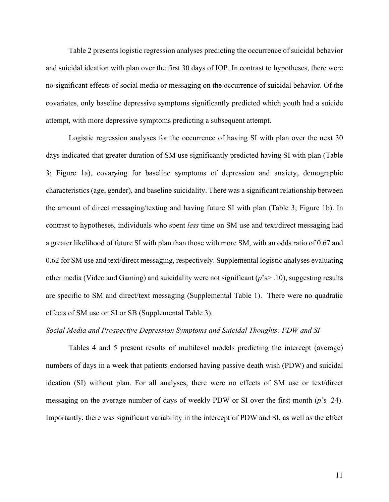Table 2 presents logistic regression analyses predicting the occurrence of suicidal behavior and suicidal ideation with plan over the first 30 days of IOP. In contrast to hypotheses, there were no significant effects of social media or messaging on the occurrence of suicidal behavior. Of the covariates, only baseline depressive symptoms significantly predicted which youth had a suicide attempt, with more depressive symptoms predicting a subsequent attempt.

Logistic regression analyses for the occurrence of having SI with plan over the next 30 days indicated that greater duration of SM use significantly predicted having SI with plan (Table 3; Figure 1a), covarying for baseline symptoms of depression and anxiety, demographic characteristics (age, gender), and baseline suicidality. There was a significant relationship between the amount of direct messaging/texting and having future SI with plan (Table 3; Figure 1b). In contrast to hypotheses, individuals who spent *less* time on SM use and text/direct messaging had a greater likelihood of future SI with plan than those with more SM, with an odds ratio of 0.67 and 0.62 for SM use and text/direct messaging, respectively. Supplemental logistic analyses evaluating other media (Video and Gaming) and suicidality were not significant (*p*'s> .10), suggesting results are specific to SM and direct/text messaging (Supplemental Table 1). There were no quadratic effects of SM use on SI or SB (Supplemental Table 3).

#### *Social Media and Prospective Depression Symptoms and Suicidal Thoughts: PDW and SI*

Tables 4 and 5 present results of multilevel models predicting the intercept (average) numbers of days in a week that patients endorsed having passive death wish (PDW) and suicidal ideation (SI) without plan. For all analyses, there were no effects of SM use or text/direct messaging on the average number of days of weekly PDW or SI over the first month (*p*'s .24). Importantly, there was significant variability in the intercept of PDW and SI, as well as the effect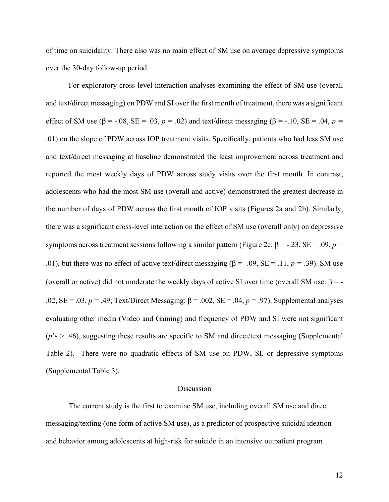of time on suicidality. There also was no main effect of SM use on average depressive symptoms over the 30-day follow-up period.

For exploratory cross-level interaction analyses examining the effect of SM use (overall and text/direct messaging) on PDW and SI over the first month of treatment, there was a significant effect of SM use ( $\beta$  = -.08, SE = .03,  $p = .02$ ) and text/direct messaging ( $\beta$  = -.10, SE = .04,  $p =$ .01) on the slope of PDW across IOP treatment visits. Specifically, patients who had less SM use and text/direct messaging at baseline demonstrated the least improvement across treatment and reported the most weekly days of PDW across study visits over the first month. In contrast, adolescents who had the most SM use (overall and active) demonstrated the greatest decrease in the number of days of PDW across the first month of IOP visits (Figures 2a and 2b). Similarly, there was a significant cross-level interaction on the effect of SM use (overall only) on depressive symptoms across treatment sessions following a similar pattern (Figure 2c;  $\beta = -0.23$ ,  $SE = 0.09$ ,  $p = 0.09$ .01), but there was no effect of active text/direct messaging ( $\beta$  = -.09, SE = .11, *p* = .39). SM use (overall or active) did not moderate the weekly days of active SI over time (overall SM use:  $\beta$  = -.02,  $SE = .03$ ,  $p = .49$ ; Text/Direct Messaging:  $\beta = .002$ ,  $SE = .04$ ,  $p = .97$ ). Supplemental analyses evaluating other media (Video and Gaming) and frequency of PDW and SI were not significant  $(p's > .46)$ , suggesting these results are specific to SM and direct/text messaging (Supplemental Table 2). There were no quadratic effects of SM use on PDW, SI, or depressive symptoms (Supplemental Table 3).

#### Discussion

The current study is the first to examine SM use, including overall SM use and direct messaging/texting (one form of active SM use), as a predictor of prospective suicidal ideation and behavior among adolescents at high-risk for suicide in an intensive outpatient program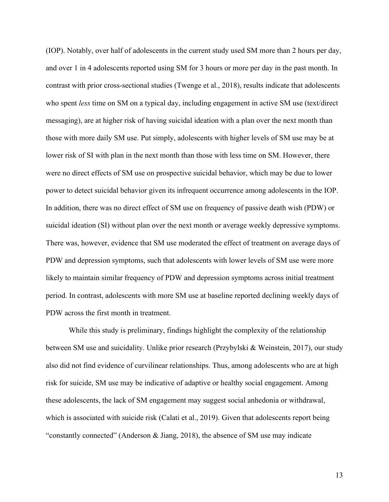(IOP). Notably, over half of adolescents in the current study used SM more than 2 hours per day, and over 1 in 4 adolescents reported using SM for 3 hours or more per day in the past month. In contrast with prior cross-sectional studies (Twenge et al., 2018), results indicate that adolescents who spent *less* time on SM on a typical day, including engagement in active SM use (text/direct messaging), are at higher risk of having suicidal ideation with a plan over the next month than those with more daily SM use. Put simply, adolescents with higher levels of SM use may be at lower risk of SI with plan in the next month than those with less time on SM. However, there were no direct effects of SM use on prospective suicidal behavior, which may be due to lower power to detect suicidal behavior given its infrequent occurrence among adolescents in the IOP. In addition, there was no direct effect of SM use on frequency of passive death wish (PDW) or suicidal ideation (SI) without plan over the next month or average weekly depressive symptoms. There was, however, evidence that SM use moderated the effect of treatment on average days of PDW and depression symptoms, such that adolescents with lower levels of SM use were more likely to maintain similar frequency of PDW and depression symptoms across initial treatment period. In contrast, adolescents with more SM use at baseline reported declining weekly days of PDW across the first month in treatment.

While this study is preliminary, findings highlight the complexity of the relationship between SM use and suicidality. Unlike prior research (Przybylski & Weinstein, 2017), our study also did not find evidence of curvilinear relationships. Thus, among adolescents who are at high risk for suicide, SM use may be indicative of adaptive or healthy social engagement. Among these adolescents, the lack of SM engagement may suggest social anhedonia or withdrawal, which is associated with suicide risk (Calati et al., 2019). Given that adolescents report being "constantly connected" (Anderson & Jiang, 2018), the absence of SM use may indicate

13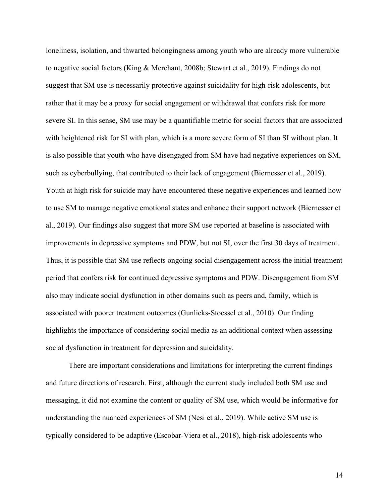loneliness, isolation, and thwarted belongingness among youth who are already more vulnerable to negative social factors (King & Merchant, 2008b; Stewart et al., 2019). Findings do not suggest that SM use is necessarily protective against suicidality for high-risk adolescents, but rather that it may be a proxy for social engagement or withdrawal that confers risk for more severe SI. In this sense, SM use may be a quantifiable metric for social factors that are associated with heightened risk for SI with plan, which is a more severe form of SI than SI without plan. It is also possible that youth who have disengaged from SM have had negative experiences on SM, such as cyberbullying, that contributed to their lack of engagement (Biernesser et al., 2019). Youth at high risk for suicide may have encountered these negative experiences and learned how to use SM to manage negative emotional states and enhance their support network (Biernesser et al., 2019). Our findings also suggest that more SM use reported at baseline is associated with improvements in depressive symptoms and PDW, but not SI, over the first 30 days of treatment. Thus, it is possible that SM use reflects ongoing social disengagement across the initial treatment period that confers risk for continued depressive symptoms and PDW. Disengagement from SM also may indicate social dysfunction in other domains such as peers and, family, which is associated with poorer treatment outcomes (Gunlicks-Stoessel et al., 2010). Our finding highlights the importance of considering social media as an additional context when assessing social dysfunction in treatment for depression and suicidality.

There are important considerations and limitations for interpreting the current findings and future directions of research. First, although the current study included both SM use and messaging, it did not examine the content or quality of SM use, which would be informative for understanding the nuanced experiences of SM (Nesi et al., 2019). While active SM use is typically considered to be adaptive (Escobar-Viera et al., 2018), high-risk adolescents who

14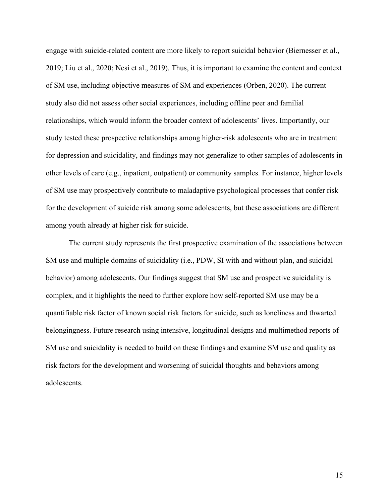engage with suicide-related content are more likely to report suicidal behavior (Biernesser et al., 2019; Liu et al., 2020; Nesi et al., 2019). Thus, it is important to examine the content and context of SM use, including objective measures of SM and experiences (Orben, 2020). The current study also did not assess other social experiences, including offline peer and familial relationships, which would inform the broader context of adolescents' lives. Importantly, our study tested these prospective relationships among higher-risk adolescents who are in treatment for depression and suicidality, and findings may not generalize to other samples of adolescents in other levels of care (e.g., inpatient, outpatient) or community samples. For instance, higher levels of SM use may prospectively contribute to maladaptive psychological processes that confer risk for the development of suicide risk among some adolescents, but these associations are different among youth already at higher risk for suicide.

The current study represents the first prospective examination of the associations between SM use and multiple domains of suicidality (i.e., PDW, SI with and without plan, and suicidal behavior) among adolescents. Our findings suggest that SM use and prospective suicidality is complex, and it highlights the need to further explore how self-reported SM use may be a quantifiable risk factor of known social risk factors for suicide, such as loneliness and thwarted belongingness. Future research using intensive, longitudinal designs and multimethod reports of SM use and suicidality is needed to build on these findings and examine SM use and quality as risk factors for the development and worsening of suicidal thoughts and behaviors among adolescents.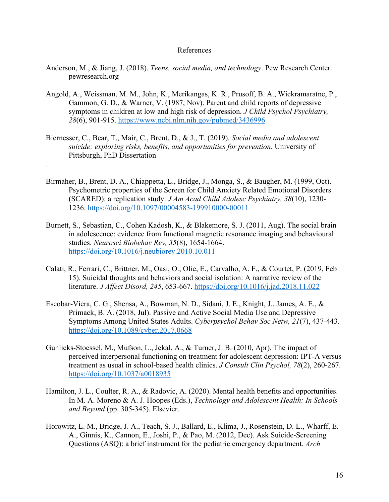### References

- Anderson, M., & Jiang, J. (2018). *Teens, social media, and technology*. Pew Research Center. pewresearch.org
- Angold, A., Weissman, M. M., John, K., Merikangas, K. R., Prusoff, B. A., Wickramaratne, P., Gammon, G. D., & Warner, V. (1987, Nov). Parent and child reports of depressive symptoms in children at low and high risk of depression. *J Child Psychol Psychiatry, 28*(6), 901-915. https://www.ncbi.nlm.nih.gov/pubmed/3436996
- Biernesser, C., Bear, T., Mair, C., Brent, D., & J., T. (2019). *Social media and adolescent suicide: exploring risks, benefits, and opportunities for prevention*. University of Pittsburgh, PhD Dissertation

.

- Birmaher, B., Brent, D. A., Chiappetta, L., Bridge, J., Monga, S., & Baugher, M. (1999, Oct). Psychometric properties of the Screen for Child Anxiety Related Emotional Disorders (SCARED): a replication study. *J Am Acad Child Adolesc Psychiatry, 38*(10), 1230- 1236. https://doi.org/10.1097/00004583-199910000-00011
- Burnett, S., Sebastian, C., Cohen Kadosh, K., & Blakemore, S. J. (2011, Aug). The social brain in adolescence: evidence from functional magnetic resonance imaging and behavioural studies. *Neurosci Biobehav Rev, 35*(8), 1654-1664. https://doi.org/10.1016/j.neubiorev.2010.10.011
- Calati, R., Ferrari, C., Brittner, M., Oasi, O., Olie, E., Carvalho, A. F., & Courtet, P. (2019, Feb 15). Suicidal thoughts and behaviors and social isolation: A narrative review of the literature. *J Affect Disord, 245*, 653-667. https://doi.org/10.1016/j.jad.2018.11.022
- Escobar-Viera, C. G., Shensa, A., Bowman, N. D., Sidani, J. E., Knight, J., James, A. E., & Primack, B. A. (2018, Jul). Passive and Active Social Media Use and Depressive Symptoms Among United States Adults. *Cyberpsychol Behav Soc Netw, 21*(7), 437-443. https://doi.org/10.1089/cyber.2017.0668
- Gunlicks-Stoessel, M., Mufson, L., Jekal, A., & Turner, J. B. (2010, Apr). The impact of perceived interpersonal functioning on treatment for adolescent depression: IPT-A versus treatment as usual in school-based health clinics. *J Consult Clin Psychol, 78*(2), 260-267. https://doi.org/10.1037/a0018935
- Hamilton, J. L., Coulter, R. A., & Radovic, A. (2020). Mental health benefits and opportunities. In M. A. Moreno & A. J. Hoopes (Eds.), *Technology and Adolescent Health: In Schools and Beyond* (pp. 305-345). Elsevier.
- Horowitz, L. M., Bridge, J. A., Teach, S. J., Ballard, E., Klima, J., Rosenstein, D. L., Wharff, E. A., Ginnis, K., Cannon, E., Joshi, P., & Pao, M. (2012, Dec). Ask Suicide-Screening Questions (ASQ): a brief instrument for the pediatric emergency department. *Arch*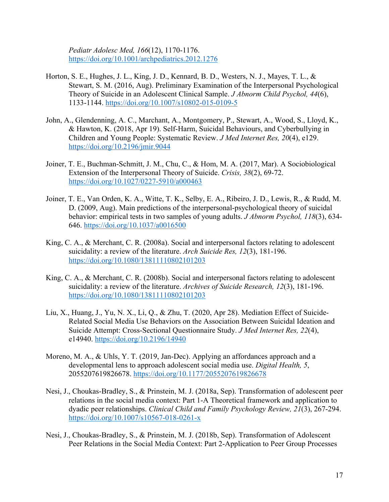*Pediatr Adolesc Med, 166*(12), 1170-1176. https://doi.org/10.1001/archpediatrics.2012.1276

- Horton, S. E., Hughes, J. L., King, J. D., Kennard, B. D., Westers, N. J., Mayes, T. L., & Stewart, S. M. (2016, Aug). Preliminary Examination of the Interpersonal Psychological Theory of Suicide in an Adolescent Clinical Sample. *J Abnorm Child Psychol, 44*(6), 1133-1144. https://doi.org/10.1007/s10802-015-0109-5
- John, A., Glendenning, A. C., Marchant, A., Montgomery, P., Stewart, A., Wood, S., Lloyd, K., & Hawton, K. (2018, Apr 19). Self-Harm, Suicidal Behaviours, and Cyberbullying in Children and Young People: Systematic Review. *J Med Internet Res, 20*(4), e129. https://doi.org/10.2196/jmir.9044
- Joiner, T. E., Buchman-Schmitt, J. M., Chu, C., & Hom, M. A. (2017, Mar). A Sociobiological Extension of the Interpersonal Theory of Suicide. *Crisis, 38*(2), 69-72. https://doi.org/10.1027/0227-5910/a000463
- Joiner, T. E., Van Orden, K. A., Witte, T. K., Selby, E. A., Ribeiro, J. D., Lewis, R., & Rudd, M. D. (2009, Aug). Main predictions of the interpersonal-psychological theory of suicidal behavior: empirical tests in two samples of young adults. *J Abnorm Psychol, 118*(3), 634- 646. https://doi.org/10.1037/a0016500
- King, C. A., & Merchant, C. R. (2008a). Social and interpersonal factors relating to adolescent suicidality: a review of the literature. *Arch Suicide Res, 12*(3), 181-196. https://doi.org/10.1080/13811110802101203
- King, C. A., & Merchant, C. R. (2008b). Social and interpersonal factors relating to adolescent suicidality: a review of the literature. *Archives of Suicide Research, 12*(3), 181-196. https://doi.org/10.1080/13811110802101203
- Liu, X., Huang, J., Yu, N. X., Li, Q., & Zhu, T. (2020, Apr 28). Mediation Effect of Suicide-Related Social Media Use Behaviors on the Association Between Suicidal Ideation and Suicide Attempt: Cross-Sectional Questionnaire Study. *J Med Internet Res, 22*(4), e14940. https://doi.org/10.2196/14940
- Moreno, M. A., & Uhls, Y. T. (2019, Jan-Dec). Applying an affordances approach and a developmental lens to approach adolescent social media use. *Digital Health, 5*, 2055207619826678. https://doi.org/10.1177/2055207619826678
- Nesi, J., Choukas-Bradley, S., & Prinstein, M. J. (2018a, Sep). Transformation of adolescent peer relations in the social media context: Part 1-A Theoretical framework and application to dyadic peer relationships. *Clinical Child and Family Psychology Review, 21*(3), 267-294. https://doi.org/10.1007/s10567-018-0261-x
- Nesi, J., Choukas-Bradley, S., & Prinstein, M. J. (2018b, Sep). Transformation of Adolescent Peer Relations in the Social Media Context: Part 2-Application to Peer Group Processes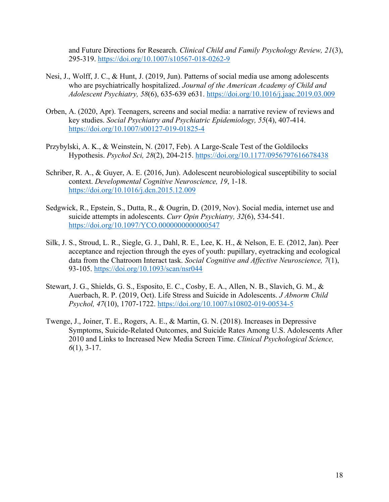and Future Directions for Research. *Clinical Child and Family Psychology Review, 21*(3), 295-319. https://doi.org/10.1007/s10567-018-0262-9

- Nesi, J., Wolff, J. C., & Hunt, J. (2019, Jun). Patterns of social media use among adolescents who are psychiatrically hospitalized. *Journal of the American Academy of Child and Adolescent Psychiatry, 58*(6), 635-639 e631. https://doi.org/10.1016/j.jaac.2019.03.009
- Orben, A. (2020, Apr). Teenagers, screens and social media: a narrative review of reviews and key studies. *Social Psychiatry and Psychiatric Epidemiology, 55*(4), 407-414. https://doi.org/10.1007/s00127-019-01825-4
- Przybylski, A. K., & Weinstein, N. (2017, Feb). A Large-Scale Test of the Goldilocks Hypothesis. *Psychol Sci, 28*(2), 204-215. https://doi.org/10.1177/0956797616678438
- Schriber, R. A., & Guyer, A. E. (2016, Jun). Adolescent neurobiological susceptibility to social context. *Developmental Cognitive Neuroscience, 19*, 1-18. https://doi.org/10.1016/j.dcn.2015.12.009
- Sedgwick, R., Epstein, S., Dutta, R., & Ougrin, D. (2019, Nov). Social media, internet use and suicide attempts in adolescents. *Curr Opin Psychiatry, 32*(6), 534-541. https://doi.org/10.1097/YCO.0000000000000547
- Silk, J. S., Stroud, L. R., Siegle, G. J., Dahl, R. E., Lee, K. H., & Nelson, E. E. (2012, Jan). Peer acceptance and rejection through the eyes of youth: pupillary, eyetracking and ecological data from the Chatroom Interact task. *Social Cognitive and Affective Neuroscience, 7*(1), 93-105. https://doi.org/10.1093/scan/nsr044
- Stewart, J. G., Shields, G. S., Esposito, E. C., Cosby, E. A., Allen, N. B., Slavich, G. M., & Auerbach, R. P. (2019, Oct). Life Stress and Suicide in Adolescents. *J Abnorm Child Psychol, 47*(10), 1707-1722. https://doi.org/10.1007/s10802-019-00534-5
- Twenge, J., Joiner, T. E., Rogers, A. E., & Martin, G. N. (2018). Increases in Depressive Symptoms, Suicide-Related Outcomes, and Suicide Rates Among U.S. Adolescents After 2010 and Links to Increased New Media Screen Time. *Clinical Psychological Science, 6*(1), 3-17.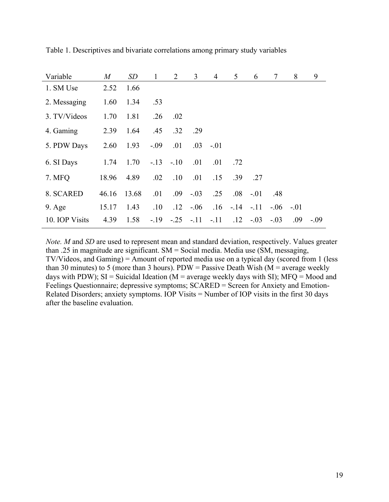| Variable        | $\boldsymbol{M}$ | SD    | $\mathbf{1}$ | $\overline{2}$ | 3                    | $\overline{4}$ | 5                 | 6            | 7          | 8   | 9      |
|-----------------|------------------|-------|--------------|----------------|----------------------|----------------|-------------------|--------------|------------|-----|--------|
| 1. SM Use       | 2.52             | 1.66  |              |                |                      |                |                   |              |            |     |        |
| 2. Messaging    | 1.60             | 1.34  | .53          |                |                      |                |                   |              |            |     |        |
| 3. TV/Videos    | 1.70             | 1.81  | .26          | .02            |                      |                |                   |              |            |     |        |
| 4. Gaming       | 2.39             | 1.64  | .45          | .32            | .29                  |                |                   |              |            |     |        |
| 5. PDW Days     | 2.60             | 1.93  | $-.09$       | .01            | .03                  | $-.01$         |                   |              |            |     |        |
| 6. SI Days      | 1.74             | 1.70  | $-.13-.10$   |                | .01                  | .01            | .72               |              |            |     |        |
| 7. MFQ          | 18.96            | 4.89  | .02          | .10            | .01                  | .15            |                   | $.39 \t .27$ |            |     |        |
| 8. SCARED       | 46.16            | 13.68 | .01          | .09            | $-.03$               | .25            |                   | $.08 - .01$  | .48        |     |        |
| $9. \text{Age}$ | 15.17            | 1.43  | .10          | .12            | $-.06$               |                | $.16 - .14 - .11$ |              | $-.06-.01$ |     |        |
| 10. IOP Visits  | 4.39             | 1.58  |              |                | $-.19$ $-.25$ $-.11$ | $-.11$         |                   | $.12 - .03$  | $-.03$     | .09 | $-.09$ |

Table 1. Descriptives and bivariate correlations among primary study variables

*Note. M* and *SD* are used to represent mean and standard deviation, respectively. Values greater than .25 in magnitude are significant. SM = Social media. Media use (SM, messaging, TV/Videos, and Gaming) = Amount of reported media use on a typical day (scored from 1 (less than 30 minutes) to 5 (more than 3 hours). PDW = Passive Death Wish ( $M$  = average weekly days with PDW); SI = Suicidal Ideation ( $M$  = average weekly days with SI); MFQ = Mood and Feelings Questionnaire; depressive symptoms; SCARED = Screen for Anxiety and Emotion-Related Disorders; anxiety symptoms. IOP Visits = Number of IOP visits in the first 30 days after the baseline evaluation.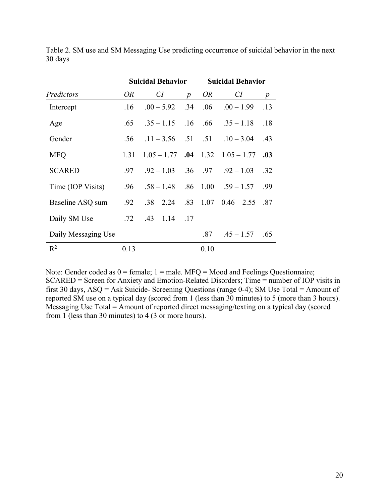|                     |      | <b>Suicidal Behavior</b> |                  | <b>Suicidal Behavior</b> |                                         |                  |  |
|---------------------|------|--------------------------|------------------|--------------------------|-----------------------------------------|------------------|--|
| Predictors          | OR   | CI                       | $\boldsymbol{p}$ | <i>OR</i>                | CI                                      | $\boldsymbol{p}$ |  |
| Intercept           | .16  | $.00 - 5.92$ .34         |                  | .06                      | $.00 - 1.99$                            | .13              |  |
| Age                 | .65  |                          |                  |                          | $.35 - 1.15$ $.16$ $.66$ $.35 - 1.18$   | .18              |  |
| Gender              | .56  | $.11 - 3.56$ $.51$ $.51$ |                  |                          | $.10 - 3.04$                            | .43              |  |
| <b>MFQ</b>          | 1.31 |                          |                  |                          | $1.05 - 1.77$ .04 $1.32$ $1.05 - 1.77$  | .03              |  |
| <b>SCARED</b>       | .97  |                          |                  |                          | $.92 - 1.03$ $.36$ $.97$ $.92 - 1.03$   | .32              |  |
| Time (IOP Visits)   | .96  |                          |                  |                          | $.58 - 1.48$ $.86$ $1.00$ $.59 - 1.57$  | .99              |  |
| Baseline ASQ sum    | .92  |                          |                  |                          | $.38 - 2.24$ $.83$ $1.07$ $0.46 - 2.55$ | .87              |  |
| Daily SM Use        | .72  | $.43 - 1.14$ .17         |                  |                          |                                         |                  |  |
| Daily Messaging Use |      |                          |                  | .87                      | $.45 - 1.57$                            | .65              |  |
| $\mathbb{R}^2$      | 0.13 |                          |                  | 0.10                     |                                         |                  |  |

Table 2. SM use and SM Messaging Use predicting occurrence of suicidal behavior in the next 30 days

Note: Gender coded as  $0 =$  female;  $1 =$  male. MFQ = Mood and Feelings Questionnaire; SCARED = Screen for Anxiety and Emotion-Related Disorders; Time = number of IOP visits in first 30 days, ASQ = Ask Suicide- Screening Questions (range 0-4); SM Use Total = Amount of reported SM use on a typical day (scored from 1 (less than 30 minutes) to 5 (more than 3 hours). Messaging Use Total = Amount of reported direct messaging/texting on a typical day (scored from 1 (less than 30 minutes) to 4 (3 or more hours).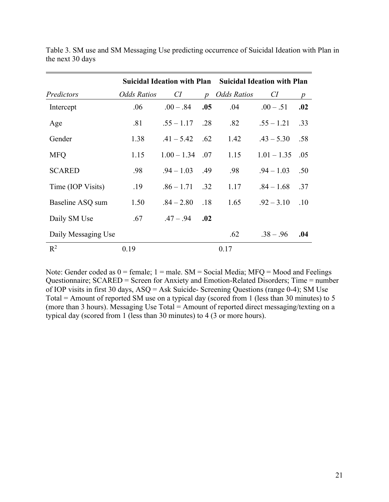|                     | Suicidal Ideation with Plan Suicidal Ideation with Plan |               |                  |                    |               |                  |  |  |
|---------------------|---------------------------------------------------------|---------------|------------------|--------------------|---------------|------------------|--|--|
| Predictors          | Odds Ratios                                             | CI            | $\boldsymbol{p}$ | <b>Odds Ratios</b> | CI            | $\boldsymbol{p}$ |  |  |
| Intercept           | .06                                                     | $.00 - .84$   | .05              | .04                | $.00-.51$     | .02              |  |  |
| Age                 | .81                                                     | $.55 - 1.17$  | .28              | .82                | $.55 - 1.21$  | .33              |  |  |
| Gender              | 1.38                                                    | $.41 - 5.42$  | .62              | 1.42               | $.43 - 5.30$  | .58              |  |  |
| <b>MFQ</b>          | 1.15                                                    | $1.00 - 1.34$ | .07              | 1.15               | $1.01 - 1.35$ | .05              |  |  |
| <b>SCARED</b>       | .98                                                     | $.94 - 1.03$  | .49              | .98                | $.94 - 1.03$  | .50              |  |  |
| Time (IOP Visits)   | .19                                                     | $.86 - 1.71$  | .32              | 1.17               | $.84 - 1.68$  | .37              |  |  |
| Baseline ASQ sum    | 1.50                                                    | $.84 - 2.80$  | .18              | 1.65               | $.92 - 3.10$  | .10              |  |  |
| Daily SM Use        | .67                                                     | $.47-.94$     | .02              |                    |               |                  |  |  |
| Daily Messaging Use |                                                         |               |                  | .62                | $.38 - .96$   | .04              |  |  |
| $\mathbb{R}^2$      | 0.19                                                    |               |                  | 0.17               |               |                  |  |  |

Table 3. SM use and SM Messaging Use predicting occurrence of Suicidal Ideation with Plan in the next 30 days

Note: Gender coded as  $0 =$  female;  $1 =$  male. SM = Social Media; MFQ = Mood and Feelings Questionnaire; SCARED = Screen for Anxiety and Emotion-Related Disorders; Time = number of IOP visits in first 30 days, ASQ = Ask Suicide- Screening Questions (range 0-4); SM Use Total = Amount of reported SM use on a typical day (scored from 1 (less than 30 minutes) to 5 (more than 3 hours). Messaging Use Total = Amount of reported direct messaging/texting on a typical day (scored from 1 (less than 30 minutes) to 4 (3 or more hours).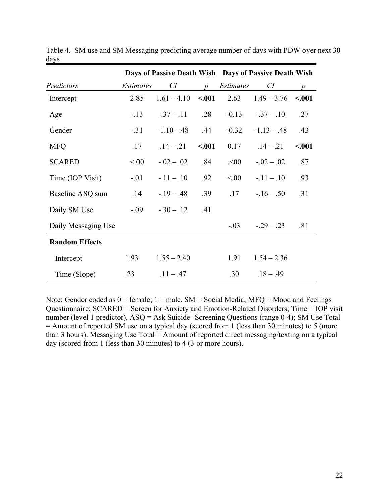|                       |                  | Days of Passive Death Wish Days of Passive Death Wish |                 |                  |               |                 |
|-----------------------|------------------|-------------------------------------------------------|-----------------|------------------|---------------|-----------------|
| Predictors            | <i>Estimates</i> | CI                                                    | $p_{\parallel}$ | <i>Estimates</i> | CI            | $p_{\parallel}$ |
| Intercept             | 2.85             | $1.61 - 4.10$                                         | < .001          | 2.63             | $1.49 - 3.76$ | < .001          |
| Age                   | $-.13$           | $-.37-.11$                                            | .28             | $-0.13$          | $-.37-.10$    | .27             |
| Gender                | $-.31$           | $-1.10 - 48$                                          | .44             | $-0.32$          | $-1.13 - .48$ | .43             |
| <b>MFQ</b>            | .17              | $.14 - .21$                                           | < .001          | 0.17             | $.14-.21$     | < .001          |
| <b>SCARED</b>         | < 0.00           | $-.02-.02$                                            | .84             | .00              | $-.02-.02$    | .87             |
| Time (IOP Visit)      | $-.01$           | $-11 - 10$                                            | .92             | < 00.            | $-.11-.10$    | .93             |
| Baseline ASQ sum      | .14              | $-19 - 0.48$                                          | .39             | .17              | $-16 - 0.50$  | .31             |
| Daily SM Use          | $-.09$           | $-.30-.12$                                            | .41             |                  |               |                 |
| Daily Messaging Use   |                  |                                                       |                 | $-0.03$          | $-.29-.23$    | .81             |
| <b>Random Effects</b> |                  |                                                       |                 |                  |               |                 |
| Intercept             | 1.93             | $1.55 - 2.40$                                         |                 | 1.91             | $1.54 - 2.36$ |                 |
| Time (Slope)          | .23              | $.11 - .47$                                           |                 | .30              | $.18 - .49$   |                 |

Table 4.SM use and SM Messaging predicting average number of days with PDW over next 30 days

Note: Gender coded as  $0 =$  female;  $1 =$  male. SM = Social Media; MFQ = Mood and Feelings Questionnaire; SCARED = Screen for Anxiety and Emotion-Related Disorders; Time = IOP visit number (level 1 predictor), ASQ = Ask Suicide- Screening Questions (range 0-4); SM Use Total  $=$  Amount of reported SM use on a typical day (scored from 1 (less than 30 minutes) to 5 (more than 3 hours). Messaging Use Total = Amount of reported direct messaging/texting on a typical day (scored from 1 (less than 30 minutes) to 4 (3 or more hours).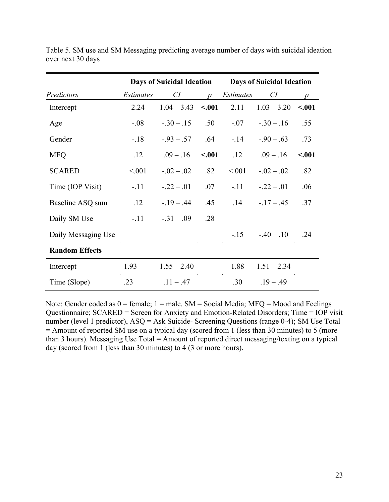|                       |                  | <b>Days of Suicidal Ideation</b> |                  | <b>Days of Suicidal Ideation</b> |                |                  |
|-----------------------|------------------|----------------------------------|------------------|----------------------------------|----------------|------------------|
| Predictors            | <i>Estimates</i> | CI                               | $\boldsymbol{p}$ | <i>Estimates</i>                 | CI             | $\boldsymbol{p}$ |
| Intercept             | 2.24             | $1.04 - 3.43$                    | < .001           | 2.11                             | $1.03 - 3.20$  | < .001           |
| Age                   | $-.08$           | $-.30-.15$                       | .50              | $-.07$                           | $-.30-.16$     | .55              |
| Gender                | $-.18$           | $-.93-.57$                       | .64              | $-.14$                           | $-.90-.63$     | .73              |
| <b>MFQ</b>            | .12              | $.09-.16$                        | < .001           | .12                              | $.09-.16$      | $-.001$          |
| <b>SCARED</b>         | < 0.01           | $-.02-.02$                       | .82              | < 0.01                           | $-0.02 - 0.02$ | .82              |
| Time (IOP Visit)      | $-.11$           | $-.22-.01$                       | .07              | $-.11$                           | $-.22-.01$     | .06              |
| Baseline ASQ sum      | .12              | $-19 - .44$                      | .45              | .14                              | $-17 - .45$    | .37              |
| Daily SM Use          | $-.11$           | $-.31-.09$                       | .28              |                                  |                |                  |
| Daily Messaging Use   |                  |                                  |                  | $-15$                            | $-0.40 - 0.10$ | .24              |
| <b>Random Effects</b> |                  |                                  |                  |                                  |                |                  |
| Intercept             | 1.93             | $1.55 - 2.40$                    |                  | 1.88                             | $1.51 - 2.34$  |                  |
| Time (Slope)          | .23              | $.11 - .47$                      |                  | .30                              | $.19 - .49$    |                  |

Table 5. SM use and SM Messaging predicting average number of days with suicidal ideation over next 30 days

Note: Gender coded as  $0 =$  female;  $1 =$  male. SM = Social Media; MFQ = Mood and Feelings Questionnaire; SCARED = Screen for Anxiety and Emotion-Related Disorders; Time = IOP visit number (level 1 predictor), ASQ = Ask Suicide- Screening Questions (range 0-4); SM Use Total  $=$  Amount of reported SM use on a typical day (scored from 1 (less than 30 minutes) to 5 (more than 3 hours). Messaging Use Total = Amount of reported direct messaging/texting on a typical day (scored from 1 (less than 30 minutes) to 4 (3 or more hours).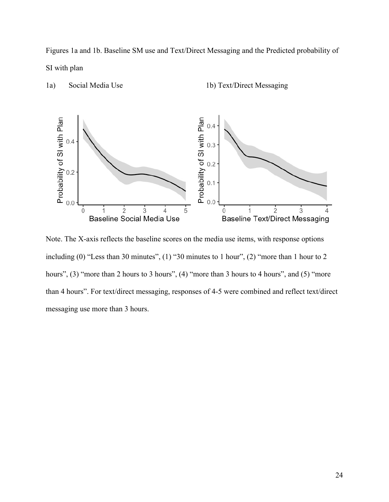Figures 1a and 1b. Baseline SM use and Text/Direct Messaging and the Predicted probability of SI with plan



1a) Social Media Use 1b) Text/Direct Messaging

Note. The X-axis reflects the baseline scores on the media use items, with response options including (0) "Less than 30 minutes", (1) "30 minutes to 1 hour", (2) "more than 1 hour to 2 hours", (3) "more than 2 hours to 3 hours", (4) "more than 3 hours to 4 hours", and (5) "more than 4 hours". For text/direct messaging, responses of 4-5 were combined and reflect text/direct messaging use more than 3 hours.